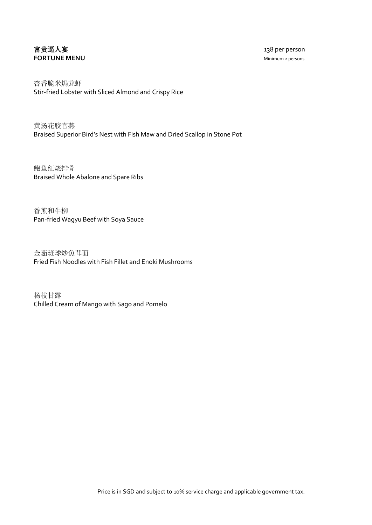## 富贵逼人宴 138 per person **FORTUNE MENU** Minimum 2 persons

杏香脆米焗龙虾 Stir-fried Lobster with Sliced Almond and Crispy Rice

黄汤花胶官燕 Braised Superior Bird's Nest with Fish Maw and Dried Scallop in Stone Pot

鲍鱼红烧排骨 Braised Whole Abalone and Spare Ribs

香煎和牛柳 Pan-fried Wagyu Beef with Soya Sauce

金茹班球炒魚茸面 Fried Fish Noodles with Fish Fillet and Enoki Mushrooms

杨枝甘露 Chilled Cream of Mango with Sago and Pomelo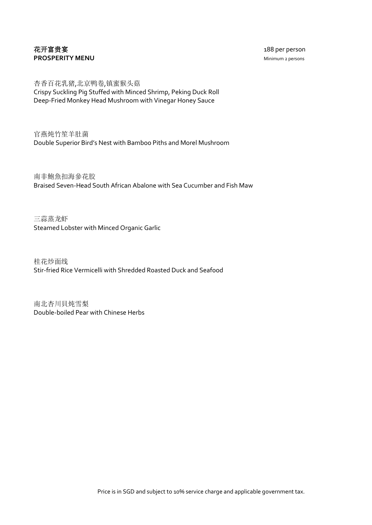## 花开富贵宴 188 per person **PROSPERITY MENU** Minimum 2 persons

杏香百花乳猪,北京鸭卷,镇蜜猴头菇 Crispy Suckling Pig Stuffed with Minced Shrimp, Peking Duck Roll Deep-Fried Monkey Head Mushroom with Vinegar Honey Sauce

官燕炖竹笙羊肚菌 Double Superior Bird's Nest with Bamboo Piths and Morel Mushroom

南非鮑魚扣海參花胶 Braised Seven-Head South African Abalone with Sea Cucumber and Fish Maw

三蒜蒸龙虾 Steamed Lobster with Minced Organic Garlic

桂花炒面线 Stir-fried Rice Vermicelli with Shredded Roasted Duck and Seafood

南北杏川貝炖雪梨 Double-boiled Pear with Chinese Herbs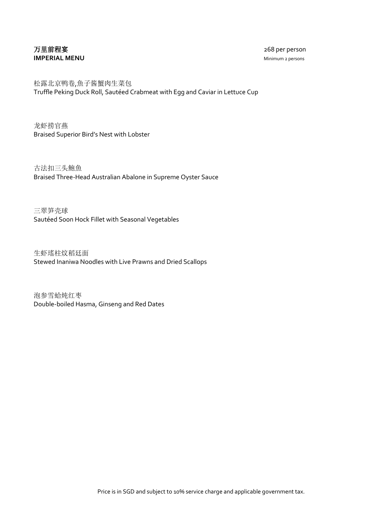## 万里前程宴 268 per person **IMPERIAL MENU** Minimum 2 persons

松露北京鸭卷,魚子酱蟹肉生菜包 Truffle Peking Duck Roll, Sautéed Crabmeat with Egg and Caviar in Lettuce Cup

龙虾捞官燕 Braised Superior Bird's Nest with Lobster

古法扣三头鮑魚 Braised Three-Head Australian Abalone in Supreme Oyster Sauce

三翠笋壳球 Sautéed Soon Hock Fillet with Seasonal Vegetables

生虾瑤柱炆稻廷面 Stewed Inaniwa Noodles with Live Prawns and Dried Scallops

泡参雪蛤炖红枣 Double-boiled Hasma, Ginseng and Red Dates